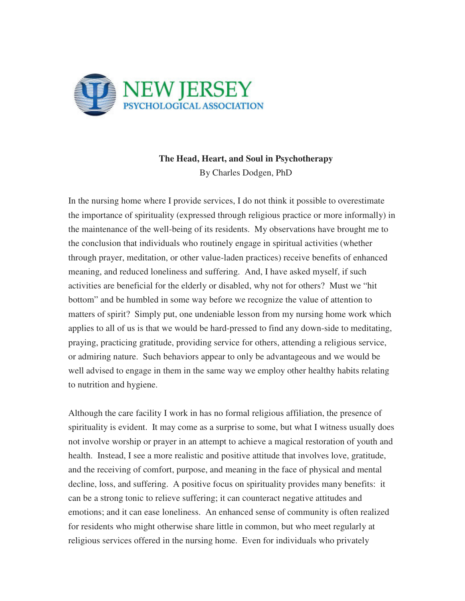

## **The Head, Heart, and Soul in Psychotherapy**  By Charles Dodgen, PhD

In the nursing home where I provide services, I do not think it possible to overestimate the importance of spirituality (expressed through religious practice or more informally) in the maintenance of the well-being of its residents. My observations have brought me to the conclusion that individuals who routinely engage in spiritual activities (whether through prayer, meditation, or other value-laden practices) receive benefits of enhanced meaning, and reduced loneliness and suffering. And, I have asked myself, if such activities are beneficial for the elderly or disabled, why not for others? Must we "hit bottom" and be humbled in some way before we recognize the value of attention to matters of spirit? Simply put, one undeniable lesson from my nursing home work which applies to all of us is that we would be hard-pressed to find any down-side to meditating, praying, practicing gratitude, providing service for others, attending a religious service, or admiring nature. Such behaviors appear to only be advantageous and we would be well advised to engage in them in the same way we employ other healthy habits relating to nutrition and hygiene.

Although the care facility I work in has no formal religious affiliation, the presence of spirituality is evident. It may come as a surprise to some, but what I witness usually does not involve worship or prayer in an attempt to achieve a magical restoration of youth and health. Instead, I see a more realistic and positive attitude that involves love, gratitude, and the receiving of comfort, purpose, and meaning in the face of physical and mental decline, loss, and suffering. A positive focus on spirituality provides many benefits: it can be a strong tonic to relieve suffering; it can counteract negative attitudes and emotions; and it can ease loneliness. An enhanced sense of community is often realized for residents who might otherwise share little in common, but who meet regularly at religious services offered in the nursing home. Even for individuals who privately